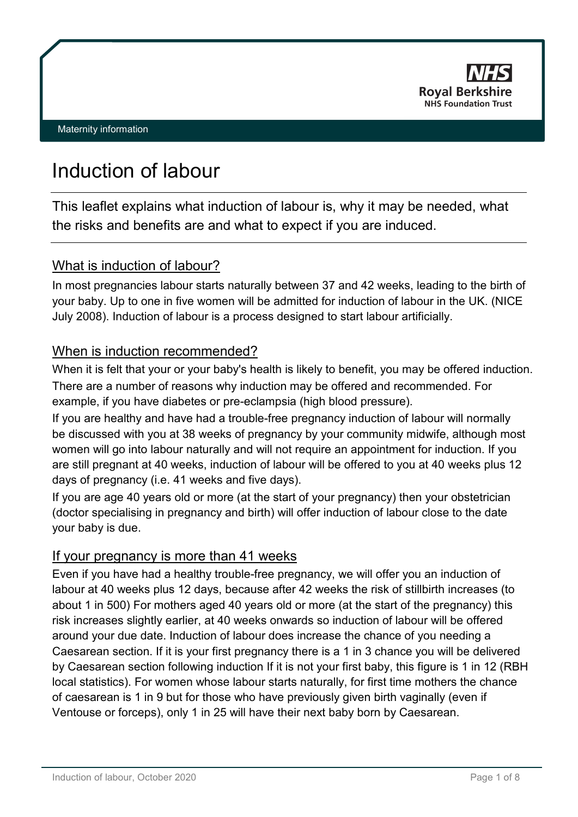

# Induction of labour

This leaflet explains what induction of labour is, why it may be needed, what the risks and benefits are and what to expect if you are induced.

# What is induction of labour?

In most pregnancies labour starts naturally between 37 and 42 weeks, leading to the birth of your baby. Up to one in five women will be admitted for induction of labour in the UK. (NICE July 2008). Induction of labour is a process designed to start labour artificially.

# When is induction recommended?

When it is felt that your or your baby's health is likely to benefit, you may be offered induction. There are a number of reasons why induction may be offered and recommended. For example, if you have diabetes or pre-eclampsia (high blood pressure).

If you are healthy and have had a trouble-free pregnancy induction of labour will normally be discussed with you at 38 weeks of pregnancy by your community midwife, although most women will go into labour naturally and will not require an appointment for induction. If you are still pregnant at 40 weeks, induction of labour will be offered to you at 40 weeks plus 12 days of pregnancy (i.e. 41 weeks and five days).

If you are age 40 years old or more (at the start of your pregnancy) then your obstetrician (doctor specialising in pregnancy and birth) will offer induction of labour close to the date your baby is due.

# If your pregnancy is more than 41 weeks

Even if you have had a healthy trouble-free pregnancy, we will offer you an induction of labour at 40 weeks plus 12 days, because after 42 weeks the risk of stillbirth increases (to about 1 in 500) For mothers aged 40 years old or more (at the start of the pregnancy) this risk increases slightly earlier, at 40 weeks onwards so induction of labour will be offered around your due date. Induction of labour does increase the chance of you needing a Caesarean section. If it is your first pregnancy there is a 1 in 3 chance you will be delivered by Caesarean section following induction If it is not your first baby, this figure is 1 in 12 (RBH local statistics). For women whose labour starts naturally, for first time mothers the chance of caesarean is 1 in 9 but for those who have previously given birth vaginally (even if Ventouse or forceps), only 1 in 25 will have their next baby born by Caesarean.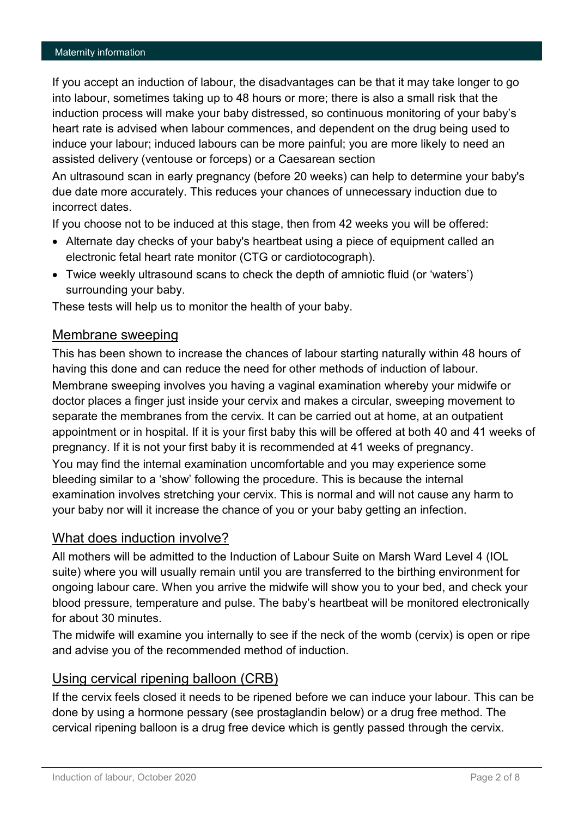If you accept an induction of labour, the disadvantages can be that it may take longer to go into labour, sometimes taking up to 48 hours or more; there is also a small risk that the induction process will make your baby distressed, so continuous monitoring of your baby's heart rate is advised when labour commences, and dependent on the drug being used to induce your labour; induced labours can be more painful; you are more likely to need an assisted delivery (ventouse or forceps) or a Caesarean section

An ultrasound scan in early pregnancy (before 20 weeks) can help to determine your baby's due date more accurately. This reduces your chances of unnecessary induction due to incorrect dates.

If you choose not to be induced at this stage, then from 42 weeks you will be offered:

- Alternate day checks of your baby's heartbeat using a piece of equipment called an electronic fetal heart rate monitor (CTG or cardiotocograph).
- Twice weekly ultrasound scans to check the depth of amniotic fluid (or 'waters') surrounding your baby.

These tests will help us to monitor the health of your baby.

#### Membrane sweeping

This has been shown to increase the chances of labour starting naturally within 48 hours of having this done and can reduce the need for other methods of induction of labour. Membrane sweeping involves you having a vaginal examination whereby your midwife or doctor places a finger just inside your cervix and makes a circular, sweeping movement to separate the membranes from the cervix. It can be carried out at home, at an outpatient appointment or in hospital. If it is your first baby this will be offered at both 40 and 41 weeks of pregnancy. If it is not your first baby it is recommended at 41 weeks of pregnancy. You may find the internal examination uncomfortable and you may experience some bleeding similar to a 'show' following the procedure. This is because the internal examination involves stretching your cervix. This is normal and will not cause any harm to your baby nor will it increase the chance of you or your baby getting an infection.

# What does induction involve?

All mothers will be admitted to the Induction of Labour Suite on Marsh Ward Level 4 (IOL suite) where you will usually remain until you are transferred to the birthing environment for ongoing labour care. When you arrive the midwife will show you to your bed, and check your blood pressure, temperature and pulse. The baby's heartbeat will be monitored electronically for about 30 minutes.

The midwife will examine you internally to see if the neck of the womb (cervix) is open or ripe and advise you of the recommended method of induction.

#### Using cervical ripening balloon (CRB)

If the cervix feels closed it needs to be ripened before we can induce your labour. This can be done by using a hormone pessary (see prostaglandin below) or a drug free method. The cervical ripening balloon is a drug free device which is gently passed through the cervix.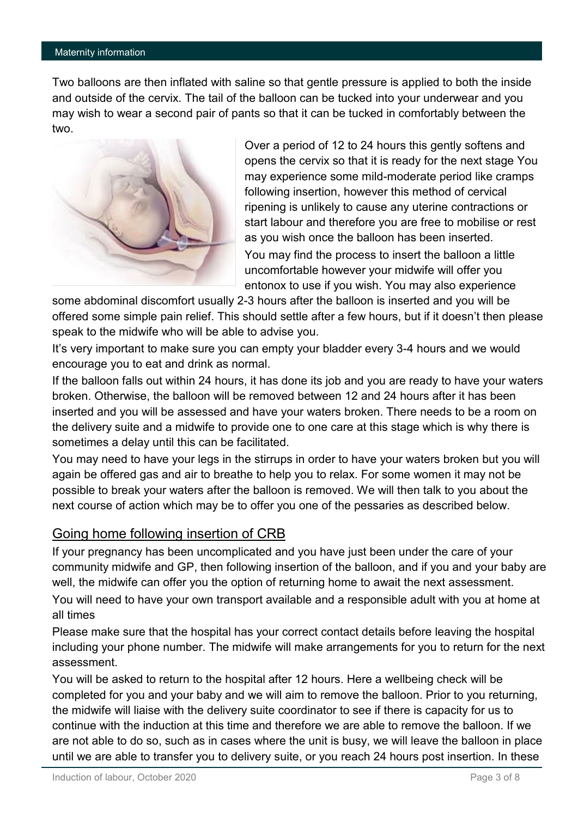Two balloons are then inflated with saline so that gentle pressure is applied to both the inside and outside of the cervix. The tail of the balloon can be tucked into your underwear and you may wish to wear a second pair of pants so that it can be tucked in comfortably between the two.



Over a period of 12 to 24 hours this gently softens and opens the cervix so that it is ready for the next stage You may experience some mild-moderate period like cramps following insertion, however this method of cervical ripening is unlikely to cause any uterine contractions or start labour and therefore you are free to mobilise or rest as you wish once the balloon has been inserted. You may find the process to insert the balloon a little uncomfortable however your midwife will offer you entonox to use if you wish. You may also experience

some abdominal discomfort usually 2-3 hours after the balloon is inserted and you will be offered some simple pain relief. This should settle after a few hours, but if it doesn't then please speak to the midwife who will be able to advise you.

It's very important to make sure you can empty your bladder every 3-4 hours and we would encourage you to eat and drink as normal.

If the balloon falls out within 24 hours, it has done its job and you are ready to have your waters broken. Otherwise, the balloon will be removed between 12 and 24 hours after it has been inserted and you will be assessed and have your waters broken. There needs to be a room on the delivery suite and a midwife to provide one to one care at this stage which is why there is sometimes a delay until this can be facilitated.

You may need to have your legs in the stirrups in order to have your waters broken but you will again be offered gas and air to breathe to help you to relax. For some women it may not be possible to break your waters after the balloon is removed. We will then talk to you about the next course of action which may be to offer you one of the pessaries as described below.

# Going home following insertion of CRB

If your pregnancy has been uncomplicated and you have just been under the care of your community midwife and GP, then following insertion of the balloon, and if you and your baby are well, the midwife can offer you the option of returning home to await the next assessment.

You will need to have your own transport available and a responsible adult with you at home at all times

Please make sure that the hospital has your correct contact details before leaving the hospital including your phone number. The midwife will make arrangements for you to return for the next assessment.

You will be asked to return to the hospital after 12 hours. Here a wellbeing check will be completed for you and your baby and we will aim to remove the balloon. Prior to you returning, the midwife will liaise with the delivery suite coordinator to see if there is capacity for us to continue with the induction at this time and therefore we are able to remove the balloon. If we are not able to do so, such as in cases where the unit is busy, we will leave the balloon in place until we are able to transfer you to delivery suite, or you reach 24 hours post insertion. In these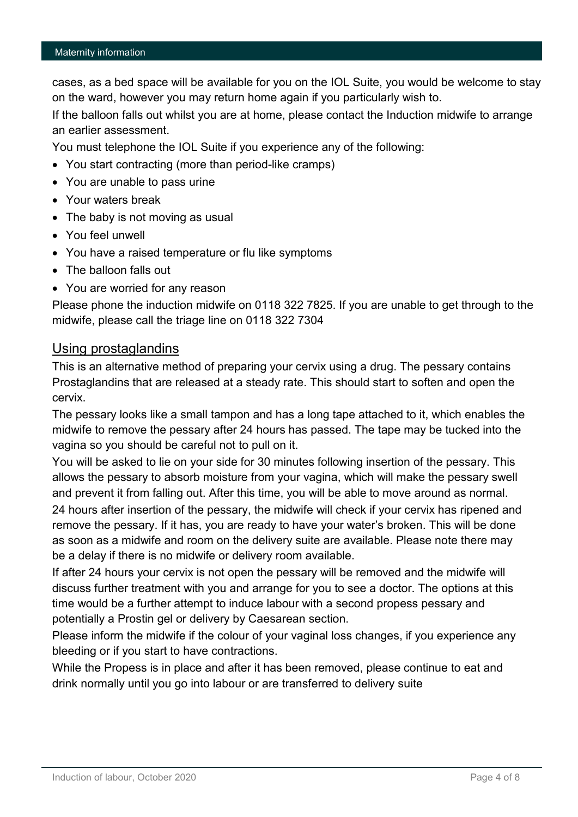cases, as a bed space will be available for you on the IOL Suite, you would be welcome to stay on the ward, however you may return home again if you particularly wish to.

If the balloon falls out whilst you are at home, please contact the Induction midwife to arrange an earlier assessment.

You must telephone the IOL Suite if you experience any of the following:

- You start contracting (more than period-like cramps)
- You are unable to pass urine
- Your waters break
- The baby is not moving as usual
- You feel unwell
- You have a raised temperature or flu like symptoms
- The balloon falls out
- You are worried for any reason

Please phone the induction midwife on 0118 322 7825. If you are unable to get through to the midwife, please call the triage line on 0118 322 7304

## Using prostaglandins

This is an alternative method of preparing your cervix using a drug. The pessary contains Prostaglandins that are released at a steady rate. This should start to soften and open the cervix.

The pessary looks like a small tampon and has a long tape attached to it, which enables the midwife to remove the pessary after 24 hours has passed. The tape may be tucked into the vagina so you should be careful not to pull on it.

You will be asked to lie on your side for 30 minutes following insertion of the pessary. This allows the pessary to absorb moisture from your vagina, which will make the pessary swell and prevent it from falling out. After this time, you will be able to move around as normal. 24 hours after insertion of the pessary, the midwife will check if your cervix has ripened and remove the pessary. If it has, you are ready to have your water's broken. This will be done as soon as a midwife and room on the delivery suite are available. Please note there may be a delay if there is no midwife or delivery room available.

If after 24 hours your cervix is not open the pessary will be removed and the midwife will discuss further treatment with you and arrange for you to see a doctor. The options at this time would be a further attempt to induce labour with a second propess pessary and potentially a Prostin gel or delivery by Caesarean section.

Please inform the midwife if the colour of your vaginal loss changes, if you experience any bleeding or if you start to have contractions.

While the Propess is in place and after it has been removed, please continue to eat and drink normally until you go into labour or are transferred to delivery suite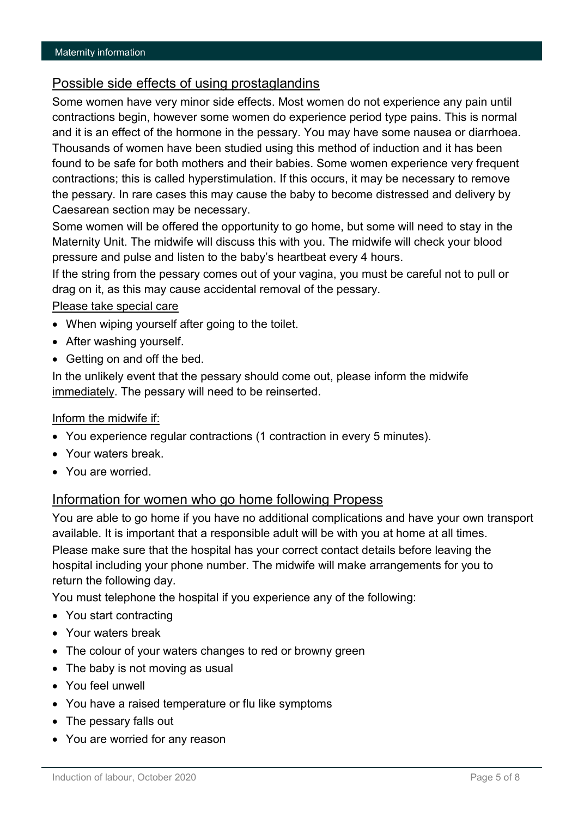# Possible side effects of using prostaglandins

Some women have very minor side effects. Most women do not experience any pain until contractions begin, however some women do experience period type pains. This is normal and it is an effect of the hormone in the pessary. You may have some nausea or diarrhoea. Thousands of women have been studied using this method of induction and it has been found to be safe for both mothers and their babies. Some women experience very frequent contractions; this is called hyperstimulation. If this occurs, it may be necessary to remove the pessary. In rare cases this may cause the baby to become distressed and delivery by Caesarean section may be necessary.

Some women will be offered the opportunity to go home, but some will need to stay in the Maternity Unit. The midwife will discuss this with you. The midwife will check your blood pressure and pulse and listen to the baby's heartbeat every 4 hours.

If the string from the pessary comes out of your vagina, you must be careful not to pull or drag on it, as this may cause accidental removal of the pessary.

#### Please take special care

- When wiping yourself after going to the toilet.
- After washing yourself.
- Getting on and off the bed.

In the unlikely event that the pessary should come out, please inform the midwife immediately. The pessary will need to be reinserted.

#### Inform the midwife if:

- You experience regular contractions (1 contraction in every 5 minutes).
- Your waters break
- You are worried.

## Information for women who go home following Propess

You are able to go home if you have no additional complications and have your own transport available. It is important that a responsible adult will be with you at home at all times. Please make sure that the hospital has your correct contact details before leaving the hospital including your phone number. The midwife will make arrangements for you to return the following day.

You must telephone the hospital if you experience any of the following:

- You start contracting
- Your waters break
- The colour of your waters changes to red or browny green
- The baby is not moving as usual
- You feel unwell
- You have a raised temperature or flu like symptoms
- The pessary falls out
- You are worried for any reason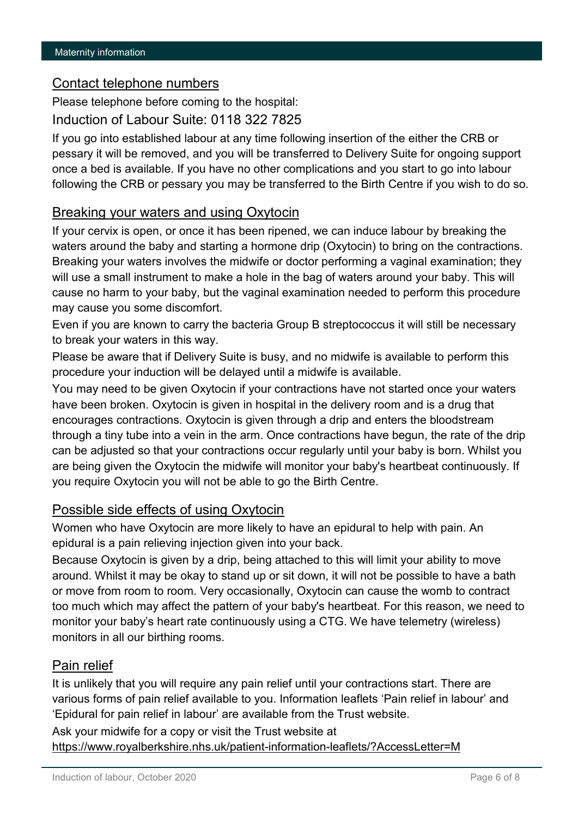### Contact telephone numbers

Please telephone before coming to the hospital:

Induction of Labour Suite: 0118 322 7825

If you go into established labour at any time following insertion of the either the CRB or pessary it will be removed, and you will be transferred to Delivery Suite for ongoing support once a bed is available. If you have no other complications and you start to go into labour following the CRB or pessary you may be transferred to the Birth Centre if you wish to do so.

## Breaking your waters and using Oxytocin

If your cervix is open, or once it has been ripened, we can induce labour by breaking the waters around the baby and starting a hormone drip (Oxytocin) to bring on the contractions. Breaking your waters involves the midwife or doctor performing a vaginal examination; they will use a small instrument to make a hole in the bag of waters around your baby. This will cause no harm to your baby, but the vaginal examination needed to perform this procedure may cause you some discomfort.

Even if you are known to carry the bacteria Group B streptococcus it will still be necessary to break your waters in this way.

Please be aware that if Delivery Suite is busy, and no midwife is available to perform this procedure your induction will be delayed until a midwife is available.

You may need to be given Oxytocin if your contractions have not started once your waters have been broken. Oxytocin is given in hospital in the delivery room and is a drug that encourages contractions. Oxytocin is given through a drip and enters the bloodstream through a tiny tube into a vein in the arm. Once contractions have begun, the rate of the drip can be adjusted so that your contractions occur regularly until your baby is born. Whilst you are being given the Oxytocin the midwife will monitor your baby's heartbeat continuously. If you require Oxytocin you will not be able to go the Birth Centre.

## Possible side effects of using Oxytocin

Women who have Oxytocin are more likely to have an epidural to help with pain. An epidural is a pain relieving injection given into your back.

Because Oxytocin is given by a drip, being attached to this will limit your ability to move around. Whilst it may be okay to stand up or sit down, it will not be possible to have a bath or move from room to room. Very occasionally, Oxytocin can cause the womb to contract too much which may affect the pattern of your baby's heartbeat. For this reason, we need to monitor your baby's heart rate continuously using a CTG. We have telemetry (wireless) monitors in all our birthing rooms.

## Pain relief

It is unlikely that you will require any pain relief until your contractions start. There are various forms of pain relief available to you. Information leaflets 'Pain relief in labour' and 'Epidural for pain relief in labour' are available from the Trust website.

Ask your midwife for a copy or visit the Trust website at <https://www.royalberkshire.nhs.uk/patient-information-leaflets/?AccessLetter=M>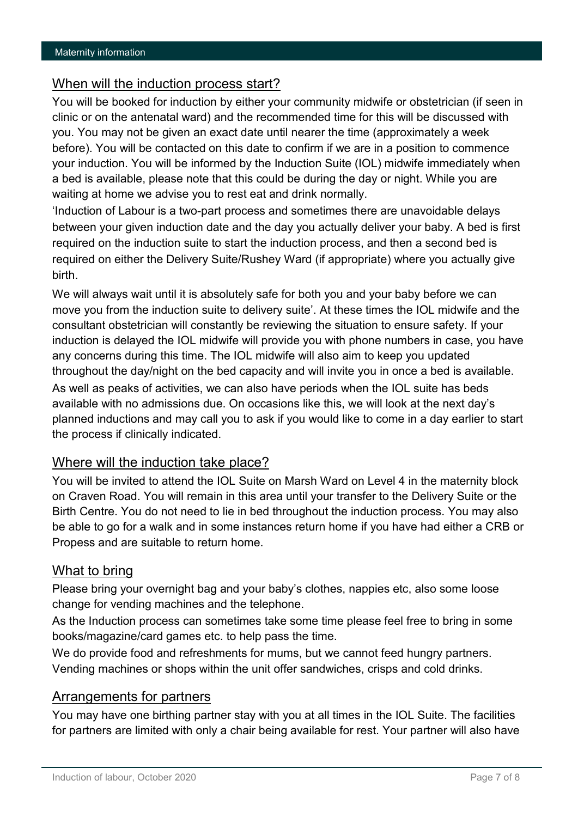# When will the induction process start?

You will be booked for induction by either your community midwife or obstetrician (if seen in clinic or on the antenatal ward) and the recommended time for this will be discussed with you. You may not be given an exact date until nearer the time (approximately a week before). You will be contacted on this date to confirm if we are in a position to commence your induction. You will be informed by the Induction Suite (IOL) midwife immediately when a bed is available, please note that this could be during the day or night. While you are waiting at home we advise you to rest eat and drink normally.

'Induction of Labour is a two-part process and sometimes there are unavoidable delays between your given induction date and the day you actually deliver your baby. A bed is first required on the induction suite to start the induction process, and then a second bed is required on either the Delivery Suite/Rushey Ward (if appropriate) where you actually give birth.

We will always wait until it is absolutely safe for both you and your baby before we can move you from the induction suite to delivery suite'. At these times the IOL midwife and the consultant obstetrician will constantly be reviewing the situation to ensure safety. If your induction is delayed the IOL midwife will provide you with phone numbers in case, you have any concerns during this time. The IOL midwife will also aim to keep you updated throughout the day/night on the bed capacity and will invite you in once a bed is available. As well as peaks of activities, we can also have periods when the IOL suite has beds available with no admissions due. On occasions like this, we will look at the next day's planned inductions and may call you to ask if you would like to come in a day earlier to start the process if clinically indicated.

# Where will the induction take place?

You will be invited to attend the IOL Suite on Marsh Ward on Level 4 in the maternity block on Craven Road. You will remain in this area until your transfer to the Delivery Suite or the Birth Centre. You do not need to lie in bed throughout the induction process. You may also be able to go for a walk and in some instances return home if you have had either a CRB or Propess and are suitable to return home.

# What to bring

Please bring your overnight bag and your baby's clothes, nappies etc, also some loose change for vending machines and the telephone.

As the Induction process can sometimes take some time please feel free to bring in some books/magazine/card games etc. to help pass the time.

We do provide food and refreshments for mums, but we cannot feed hungry partners. Vending machines or shops within the unit offer sandwiches, crisps and cold drinks.

#### Arrangements for partners

You may have one birthing partner stay with you at all times in the IOL Suite. The facilities for partners are limited with only a chair being available for rest. Your partner will also have